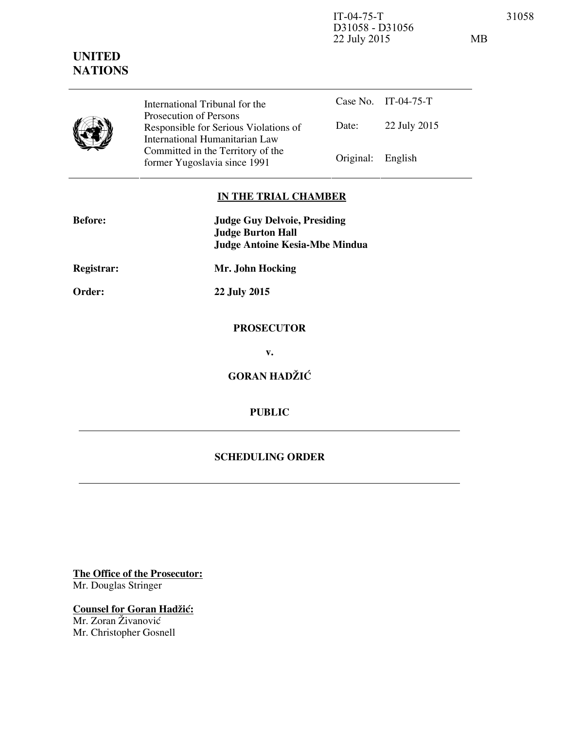IT-04-75-T 31058 D31058 - D31056 22 July 2015 MB

| International Tribunal for the<br>Prosecution of Persons<br>Responsible for Serious Violations of<br>International Humanitarian Law<br>Committed in the Territory of the<br>former Yugoslavia since 1991 |           | Case No. IT-04-75-T |
|----------------------------------------------------------------------------------------------------------------------------------------------------------------------------------------------------------|-----------|---------------------|
|                                                                                                                                                                                                          | Date:     | 22 July 2015        |
|                                                                                                                                                                                                          | Original: | English             |

## **IN THE TRIAL CHAMBER**

| <b>Before:</b> | <b>Judge Guy Delvoie, Presiding</b><br><b>Judge Burton Hall</b><br><b>Judge Antoine Kesia-Mbe Mindua</b> |  |
|----------------|----------------------------------------------------------------------------------------------------------|--|
| Registrar:     | Mr. John Hocking                                                                                         |  |
| Order:         | 22 July 2015                                                                                             |  |
|                | <b>PROSECUTOR</b>                                                                                        |  |
|                | v.                                                                                                       |  |
|                | <b>GORAN HADŽIĆ</b>                                                                                      |  |
|                | <b>PUBLIC</b>                                                                                            |  |
|                |                                                                                                          |  |

## **SCHEDULING ORDER**

**The Office of the Prosecutor:** Mr. Douglas Stringer

**Counsel for Goran Hadžić:** Mr. Zoran Živanović Mr. Christopher Gosnell

## **UNITED**

**NATIONS**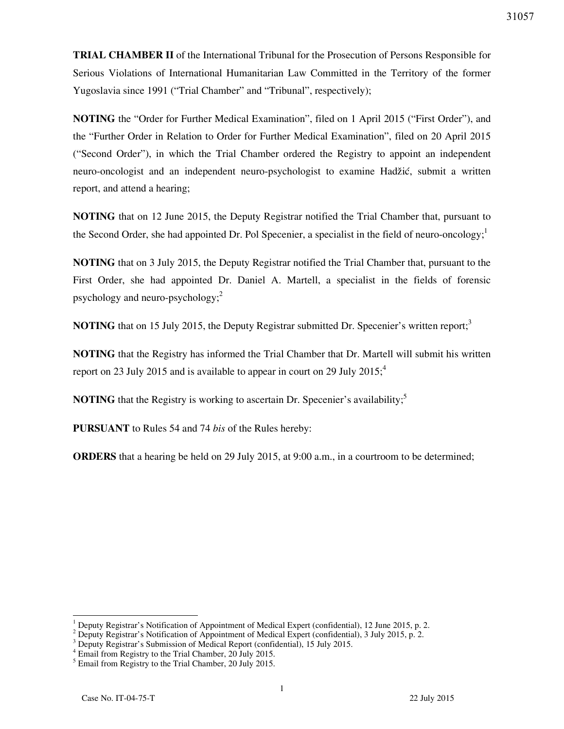**TRIAL CHAMBER II** of the International Tribunal for the Prosecution of Persons Responsible for Serious Violations of International Humanitarian Law Committed in the Territory of the former Yugoslavia since 1991 ("Trial Chamber" and "Tribunal", respectively);

**NOTING** the "Order for Further Medical Examination", filed on 1 April 2015 ("First Order"), and the "Further Order in Relation to Order for Further Medical Examination", filed on 20 April 2015 ("Second Order"), in which the Trial Chamber ordered the Registry to appoint an independent neuro-oncologist and an independent neuro-psychologist to examine Hadžić, submit a written report, and attend a hearing;

**NOTING** that on 12 June 2015, the Deputy Registrar notified the Trial Chamber that, pursuant to the Second Order, she had appointed Dr. Pol Specenier, a specialist in the field of neuro-oncology;<sup>1</sup>

**NOTING** that on 3 July 2015, the Deputy Registrar notified the Trial Chamber that, pursuant to the First Order, she had appointed Dr. Daniel A. Martell, a specialist in the fields of forensic psychology and neuro-psychology;<sup>2</sup>

**NOTING** that on 15 July 2015, the Deputy Registrar submitted Dr. Specenier's written report;<sup>3</sup>

**NOTING** that the Registry has informed the Trial Chamber that Dr. Martell will submit his written report on 23 July 2015 and is available to appear in court on 29 July 2015;<sup>4</sup>

**NOTING** that the Registry is working to ascertain Dr. Specenier's availability;<sup>5</sup>

**PURSUANT** to Rules 54 and 74 *bis* of the Rules hereby:

**ORDERS** that a hearing be held on 29 July 2015, at 9:00 a.m., in a courtroom to be determined;

<sup>1</sup> Deputy Registrar's Notification of Appointment of Medical Expert (confidential), 12 June 2015, p. 2.

<sup>&</sup>lt;sup>2</sup> Deputy Registrar's Notification of Appointment of Medical Expert (confidential), 3 July 2015, p. 2.

<sup>&</sup>lt;sup>3</sup> Deputy Registrar's Submission of Medical Report (confidential), 15 July 2015.

<sup>4</sup> Email from Registry to the Trial Chamber, 20 July 2015.

<sup>&</sup>lt;sup>5</sup> Email from Registry to the Trial Chamber, 20 July 2015.